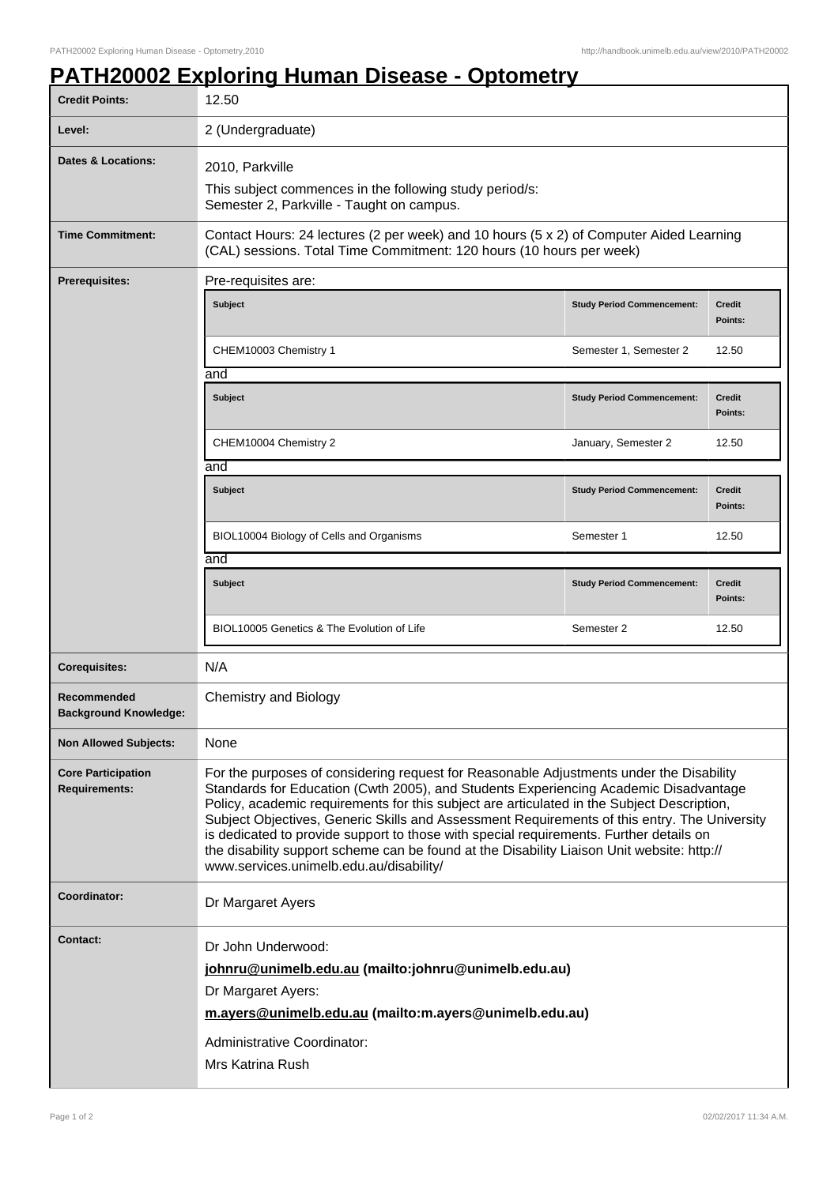## **PATH20002 Exploring Human Disease - Optometry**

| <b>Credit Points:</b>                             | 12.50                                                                                                                                                                                                                                                                                                                                                                                                                                                                                                                                                                                                            |                                   |                          |
|---------------------------------------------------|------------------------------------------------------------------------------------------------------------------------------------------------------------------------------------------------------------------------------------------------------------------------------------------------------------------------------------------------------------------------------------------------------------------------------------------------------------------------------------------------------------------------------------------------------------------------------------------------------------------|-----------------------------------|--------------------------|
| Level:                                            | 2 (Undergraduate)                                                                                                                                                                                                                                                                                                                                                                                                                                                                                                                                                                                                |                                   |                          |
| <b>Dates &amp; Locations:</b>                     | 2010, Parkville<br>This subject commences in the following study period/s:<br>Semester 2, Parkville - Taught on campus.                                                                                                                                                                                                                                                                                                                                                                                                                                                                                          |                                   |                          |
| <b>Time Commitment:</b>                           | Contact Hours: 24 lectures (2 per week) and 10 hours (5 x 2) of Computer Aided Learning<br>(CAL) sessions. Total Time Commitment: 120 hours (10 hours per week)                                                                                                                                                                                                                                                                                                                                                                                                                                                  |                                   |                          |
| <b>Prerequisites:</b>                             | Pre-requisites are:                                                                                                                                                                                                                                                                                                                                                                                                                                                                                                                                                                                              |                                   |                          |
|                                                   | Subject                                                                                                                                                                                                                                                                                                                                                                                                                                                                                                                                                                                                          | <b>Study Period Commencement:</b> | <b>Credit</b><br>Points: |
|                                                   | CHEM10003 Chemistry 1<br>and                                                                                                                                                                                                                                                                                                                                                                                                                                                                                                                                                                                     | Semester 1, Semester 2            | 12.50                    |
|                                                   | <b>Subject</b>                                                                                                                                                                                                                                                                                                                                                                                                                                                                                                                                                                                                   | <b>Study Period Commencement:</b> | <b>Credit</b><br>Points: |
|                                                   | CHEM10004 Chemistry 2                                                                                                                                                                                                                                                                                                                                                                                                                                                                                                                                                                                            | January, Semester 2               | 12.50                    |
|                                                   | and                                                                                                                                                                                                                                                                                                                                                                                                                                                                                                                                                                                                              |                                   |                          |
|                                                   | Subject                                                                                                                                                                                                                                                                                                                                                                                                                                                                                                                                                                                                          | <b>Study Period Commencement:</b> | <b>Credit</b><br>Points: |
|                                                   | BIOL10004 Biology of Cells and Organisms                                                                                                                                                                                                                                                                                                                                                                                                                                                                                                                                                                         | Semester 1                        | 12.50                    |
|                                                   | and                                                                                                                                                                                                                                                                                                                                                                                                                                                                                                                                                                                                              |                                   |                          |
|                                                   | <b>Subject</b>                                                                                                                                                                                                                                                                                                                                                                                                                                                                                                                                                                                                   | <b>Study Period Commencement:</b> | <b>Credit</b><br>Points: |
|                                                   | BIOL10005 Genetics & The Evolution of Life                                                                                                                                                                                                                                                                                                                                                                                                                                                                                                                                                                       | Semester 2                        | 12.50                    |
| <b>Corequisites:</b>                              | N/A                                                                                                                                                                                                                                                                                                                                                                                                                                                                                                                                                                                                              |                                   |                          |
| Recommended<br><b>Background Knowledge:</b>       | <b>Chemistry and Biology</b>                                                                                                                                                                                                                                                                                                                                                                                                                                                                                                                                                                                     |                                   |                          |
| <b>Non Allowed Subjects:</b>                      | None                                                                                                                                                                                                                                                                                                                                                                                                                                                                                                                                                                                                             |                                   |                          |
| <b>Core Participation</b><br><b>Requirements:</b> | For the purposes of considering request for Reasonable Adjustments under the Disability<br>Standards for Education (Cwth 2005), and Students Experiencing Academic Disadvantage<br>Policy, academic requirements for this subject are articulated in the Subject Description,<br>Subject Objectives, Generic Skills and Assessment Requirements of this entry. The University<br>is dedicated to provide support to those with special requirements. Further details on<br>the disability support scheme can be found at the Disability Liaison Unit website: http://<br>www.services.unimelb.edu.au/disability/ |                                   |                          |
| Coordinator:                                      | Dr Margaret Ayers                                                                                                                                                                                                                                                                                                                                                                                                                                                                                                                                                                                                |                                   |                          |
| <b>Contact:</b>                                   | Dr John Underwood:<br>johnru@unimelb.edu.au (mailto:johnru@unimelb.edu.au)<br>Dr Margaret Ayers:<br>m.ayers@unimelb.edu.au (mailto:m.ayers@unimelb.edu.au)<br>Administrative Coordinator:<br>Mrs Katrina Rush                                                                                                                                                                                                                                                                                                                                                                                                    |                                   |                          |